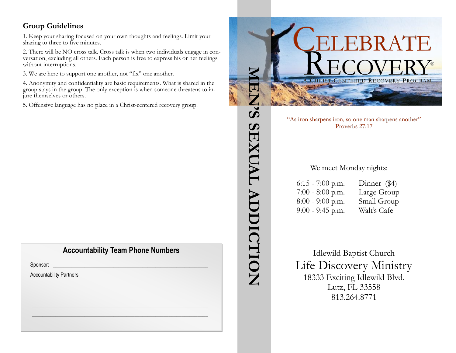## **Group Guidelines**

1. Keep your sharing focused on your own thoughts and feelings. Limit your sharing to three to five minutes.

2. There will be NO cross talk. Cross talk is when two individuals engage in conversation, excluding all others. Each person is free to express his or her feelings without interruptions.

3. We are here to support one another, not "fix" one another.

4. Anonymity and confidentiality are basic requirements. What is shared in the group stays in the group. The only exception is when someone threatens to injure themselves or others.

5. Offensive language has no place in a Christ-centered recovery group.

## **Accountability Team Phone Numbers**

 $\mathscr{L}_\mathscr{L} \mathscr{L}_\mathscr{L} \mathscr{L}_\mathscr{L} \mathscr{L}_\mathscr{L}$  $\frac{1}{2}$  ,  $\frac{1}{2}$  ,  $\frac{1}{2}$  ,  $\frac{1}{2}$  ,  $\frac{1}{2}$  ,  $\frac{1}{2}$  ,  $\frac{1}{2}$  ,  $\frac{1}{2}$  ,  $\frac{1}{2}$  ,  $\frac{1}{2}$ \_\_\_\_\_\_\_\_\_\_\_\_\_\_\_\_\_\_\_\_\_\_\_\_\_\_\_\_\_\_\_\_\_\_\_\_\_\_\_\_\_\_\_\_\_\_\_\_\_\_\_\_\_\_\_\_\_\_\_\_\_\_\_\_\_\_\_ \_\_\_\_\_\_\_\_\_\_\_\_\_\_\_\_\_\_\_\_\_\_\_\_\_\_\_\_\_\_\_\_\_\_\_\_\_\_\_\_\_\_\_\_\_\_\_\_\_\_\_\_\_\_\_\_\_\_\_\_\_\_\_\_\_\_\_

Sponsor: \_\_\_\_\_\_\_\_\_\_\_\_\_\_\_\_\_\_\_\_\_\_\_\_\_\_\_\_\_\_\_\_\_\_\_\_\_\_\_\_\_\_\_\_\_\_\_\_\_\_\_\_\_\_\_\_\_\_\_

Accountability Partners: